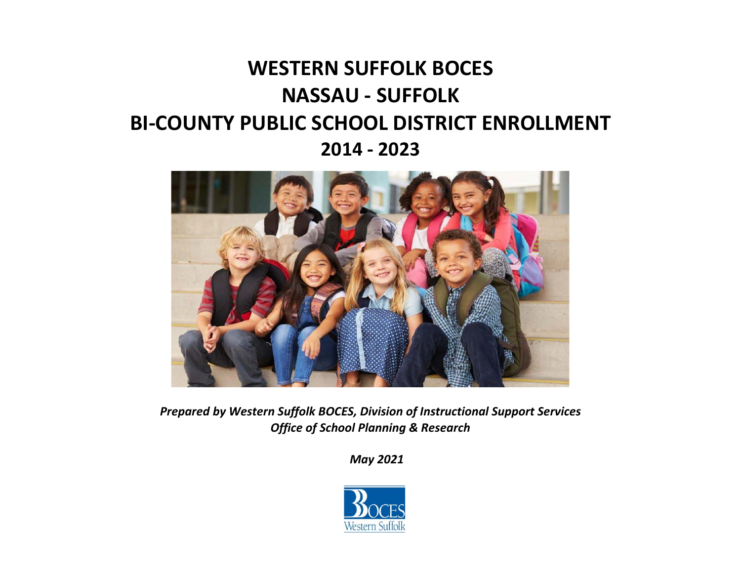# **WESTERN SUFFOLK BOCES NASSAU ‐ SUFFOLK BI‐COUNTY PUBLIC SCHOOL DISTRICT ENROLLMENT 2014 ‐ 2023**



*Prepared by Western Suffolk BOCES, Division of Instructional Support Services Office of School Planning & Research* 

*May 2021* 

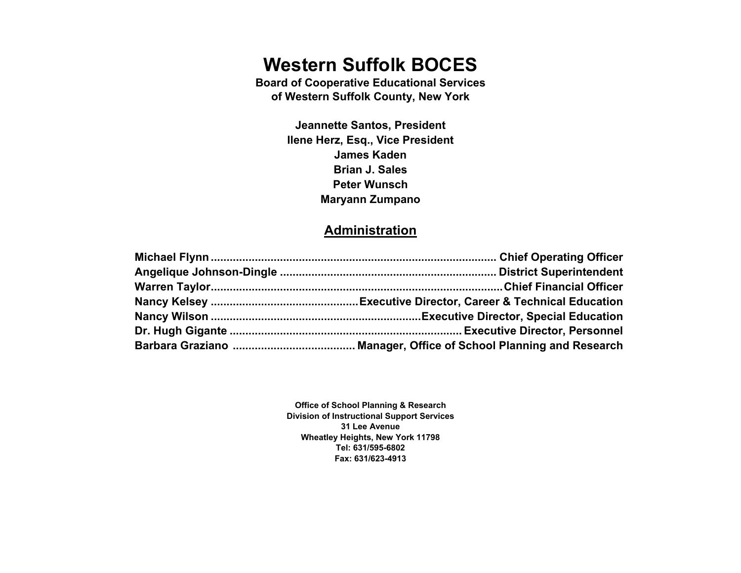# **Western Suffolk BOCES**

**Board of Cooperative Educational Services of Western Suffolk County, New York** 

> **Jeannette Santos, President Ilene Herz, Esq., Vice President James Kaden Brian J. Sales Peter Wunsch Maryann Zumpano**

### **Administration**

**Office of School Planning & Research Division of Instructional Support Services 31 Lee Avenue Wheatley Heights, New York 11798 Tel: 631/595-6802 Fax: 631/623-4913**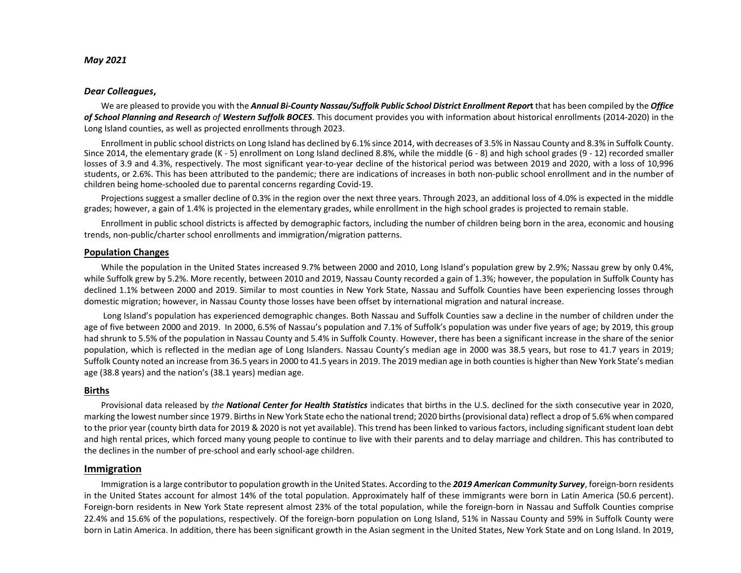#### *May 2021*

#### *Dear Colleagues***,**

We are pleased to provide you with the *Annual Bi‐County Nassau/Suffolk Public School District Enrollment Repor***t** that has been compiled by the *Office of School Planning and Research of Western Suffolk BOCES*. This document provides you with information about historical enrollments (2014‐2020) in the Long Island counties, as well as projected enrollments through 2023.

Enrollment in public school districts on Long Island has declined by 6.1% since 2014, with decreases of 3.5% in Nassau County and 8.3% in Suffolk County. Since 2014, the elementary grade (K - 5) enrollment on Long Island declined 8.8%, while the middle (6 - 8) and high school grades (9 - 12) recorded smaller losses of 3.9 and 4.3%, respectively. The most significant year-to-year decline of the historical period was between 2019 and 2020, with a loss of 10,996 students, or 2.6%. This has been attributed to the pandemic; there are indications of increases in both non-public school enrollment and in the number of children being home‐schooled due to parental concerns regarding Covid‐19.

Projections suggest a smaller decline of 0.3% in the region over the next three years. Through 2023, an additional loss of 4.0% is expected in the middle grades; however, a gain of 1.4% is projected in the elementary grades, while enrollment in the high school grades is projected to remain stable.

Enrollment in public school districts is affected by demographic factors, including the number of children being born in the area, economic and housing trends, non‐public/charter school enrollments and immigration/migration patterns.

#### **Population Changes**

While the population in the United States increased 9.7% between 2000 and 2010, Long Island's population grew by 2.9%; Nassau grew by only 0.4%, while Suffolk grew by 5.2%. More recently, between 2010 and 2019, Nassau County recorded a gain of 1.3%; however, the population in Suffolk County has declined 1.1% between 2000 and 2019. Similar to most counties in New York State, Nassau and Suffolk Counties have been experiencing losses through domestic migration; however, in Nassau County those losses have been offset by international migration and natural increase.

 Long Island's population has experienced demographic changes. Both Nassau and Suffolk Counties saw a decline in the number of children under the age of five between 2000 and 2019. In 2000, 6.5% of Nassau's population and 7.1% of Suffolk's population was under five years of age; by 2019, this group had shrunk to 5.5% of the population in Nassau County and 5.4% in Suffolk County. However, there has been a significant increase in the share of the senior population, which is reflected in the median age of Long Islanders. Nassau County's median age in 2000 was 38.5 years, but rose to 41.7 years in 2019; Suffolk County noted an increase from 36.5 years in 2000 to 41.5 years in 2019. The 2019 median age in both counties is higher than New York State's median age (38.8 years) and the nation's (38.1 years) median age.

#### **Births**

Provisional data released by *the National Center for Health Statistics* indicates that births in the U.S. declined for the sixth consecutive year in 2020, marking the lowest number since 1979. Births in New York State echo the national trend; 2020 births (provisional data) reflect a drop of 5.6% when compared to the prior year (county birth data for 2019 & 2020 is not yet available). This trend has been linked to various factors, including significant student loan debt and high rental prices, which forced many young people to continue to live with their parents and to delay marriage and children. This has contributed to the declines in the number of pre‐school and early school‐age children.

#### **Immigration**

Immigration is a large contributor to population growth in the United States. According to the 2019 American Community Survey, foreign-born residents in the United States account for almost 14% of the total population. Approximately half of these immigrants were born in Latin America (50.6 percent). Foreign-born residents in New York State represent almost 23% of the total population, while the foreign-born in Nassau and Suffolk Counties comprise 22.4% and 15.6% of the populations, respectively. Of the foreign‐born population on Long Island, 51% in Nassau County and 59% in Suffolk County were born in Latin America. In addition, there has been significant growth in the Asian segment in the United States, New York State and on Long Island. In 2019,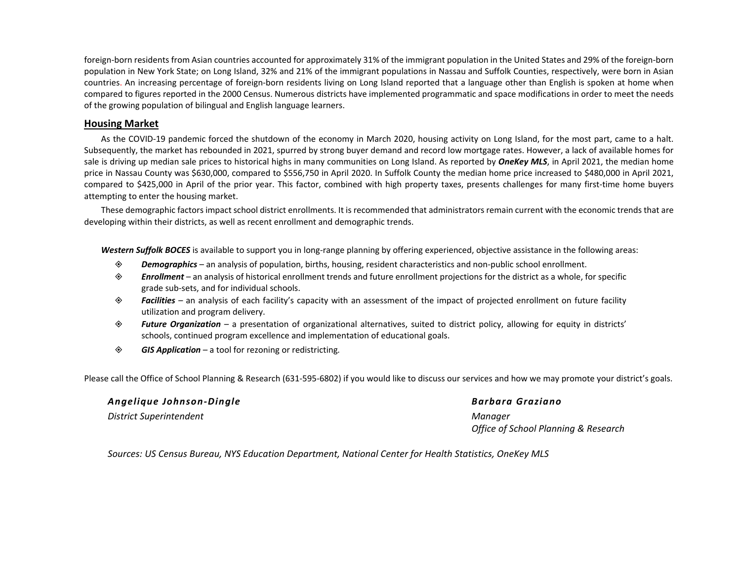foreign-born residents from Asian countries accounted for approximately 31% of the immigrant population in the United States and 29% of the foreign-born population in New York State; on Long Island, 32% and 21% of the immigrant populations in Nassau and Suffolk Counties, respectively, were born in Asian countries. An increasing percentage of foreign‐born residents living on Long Island reported that a language other than English is spoken at home when compared to figures reported in the 2000 Census. Numerous districts have implemented programmatic and space modifications in order to meet the needs of the growing population of bilingual and English language learners.

#### **Housing Market**

As the COVID‐19 pandemic forced the shutdown of the economy in March 2020, housing activity on Long Island, for the most part, came to a halt. Subsequently, the market has rebounded in 2021, spurred by strong buyer demand and record low mortgage rates. However, a lack of available homes for sale is driving up median sale prices to historical highs in many communities on Long Island. As reported by **OneKey MLS**, in April 2021, the median home price in Nassau County was \$630,000, compared to \$556,750 in April 2020. In Suffolk County the median home price increased to \$480,000 in April 2021, compared to \$425,000 in April of the prior year. This factor, combined with high property taxes, presents challenges for many first-time home buyers attempting to enter the housing market.

These demographic factors impact school district enrollments. It is recommended that administrators remain current with the economic trends that are developing within their districts, as well as recent enrollment and demographic trends.

Western Suffolk BOCES is available to support you in long-range planning by offering experienced, objective assistance in the following areas:

- ◈ *Demographics* – an analysis of population, births, housing, resident characteristics and non‐public school enrollment.
- ◈ *Enrollment* – an analysis of historical enrollment trends and future enrollment projections for the district as a whole, for specific grade sub‐sets, and for individual schools.
- ◈ *Facilities* – an analysis of each facility's capacity with an assessment of the impact of projected enrollment on future facility utilization and program delivery.
- ◈ *Future Organization* – a presentation of organizational alternatives, suited to district policy, allowing for equity in districts' schools, continued program excellence and implementation of educational goals.
- ◈ *GIS Application* – a tool for rezoning or redistricting.

Please call the Office of School Planning & Research (631‐595‐6802) if you would like to discuss our services and how we may promote your district's goals.

| Angelique Johnson-Dingle | Barbara |
|--------------------------|---------|
| District Superintendent  | Manaaer |

#### *Angelique Johnson‐Dingle Barbara Graziano*

*Office of School Planning & Research* 

*Sources: US Census Bureau, NYS Education Department, National Center for Health Statistics, OneKey MLS*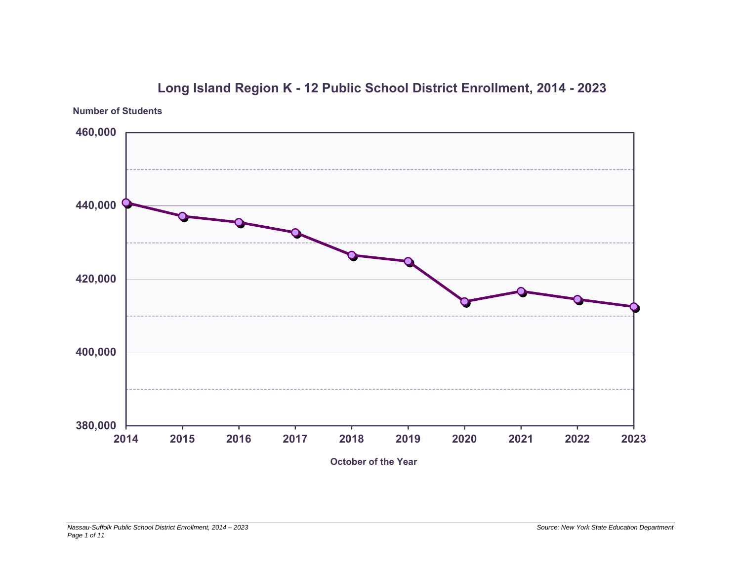

### **Long Island Region K - 12 Public School District Enrollment, 2014 - 2023**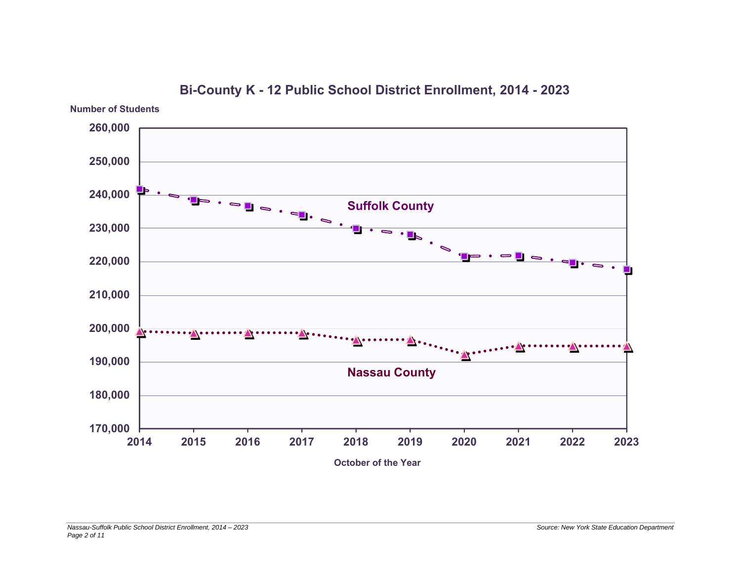

**Bi-County K - 12 Public School District Enrollment, 2014 - 2023**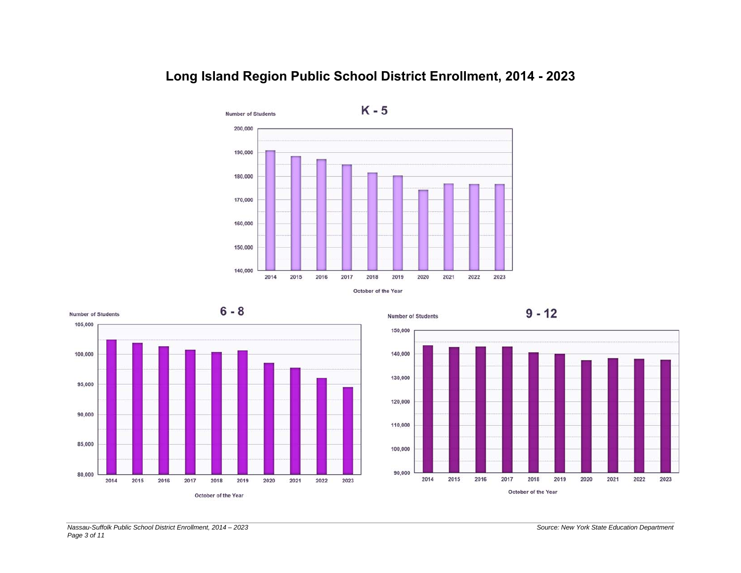

### **Long Island Region Public School District Enrollment, 2014 - 2023**



**Number of Students** 



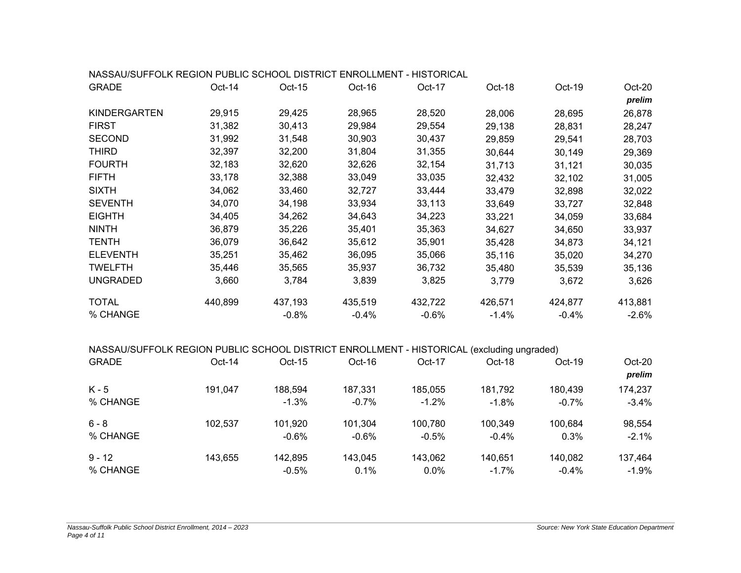| NASSAU/SUFFOLK REGION PUBLIC SCHOOL DISTRICT ENROLLMENT - HISTORICAL                      |         |         |         |         |         |         |         |
|-------------------------------------------------------------------------------------------|---------|---------|---------|---------|---------|---------|---------|
| <b>GRADE</b>                                                                              | Oct-14  | Oct-15  | Oct-16  | Oct-17  | Oct-18  | Oct-19  | Oct-20  |
|                                                                                           |         |         |         |         |         |         | prelim  |
| KINDERGARTEN                                                                              | 29,915  | 29,425  | 28,965  | 28,520  | 28,006  | 28,695  | 26,878  |
| <b>FIRST</b>                                                                              | 31,382  | 30,413  | 29,984  | 29,554  | 29,138  | 28,831  | 28,247  |
| <b>SECOND</b>                                                                             | 31,992  | 31,548  | 30,903  | 30,437  | 29,859  | 29,541  | 28,703  |
| <b>THIRD</b>                                                                              | 32,397  | 32,200  | 31,804  | 31,355  | 30,644  | 30,149  | 29,369  |
| <b>FOURTH</b>                                                                             | 32,183  | 32,620  | 32,626  | 32,154  | 31,713  | 31,121  | 30,035  |
| <b>FIFTH</b>                                                                              | 33,178  | 32,388  | 33,049  | 33,035  | 32,432  | 32,102  | 31,005  |
| <b>SIXTH</b>                                                                              | 34,062  | 33,460  | 32,727  | 33,444  | 33,479  | 32,898  | 32,022  |
| <b>SEVENTH</b>                                                                            | 34,070  | 34,198  | 33,934  | 33,113  | 33,649  | 33,727  | 32,848  |
| <b>EIGHTH</b>                                                                             | 34,405  | 34,262  | 34,643  | 34,223  | 33,221  | 34,059  | 33,684  |
| <b>NINTH</b>                                                                              | 36,879  | 35,226  | 35,401  | 35,363  | 34,627  | 34,650  | 33,937  |
| <b>TENTH</b>                                                                              | 36,079  | 36,642  | 35,612  | 35,901  | 35,428  | 34,873  | 34,121  |
| <b>ELEVENTH</b>                                                                           | 35,251  | 35,462  | 36,095  | 35,066  | 35,116  | 35,020  | 34,270  |
| <b>TWELFTH</b>                                                                            | 35,446  | 35,565  | 35,937  | 36,732  | 35,480  | 35,539  | 35,136  |
| <b>UNGRADED</b>                                                                           | 3,660   | 3,784   | 3,839   | 3,825   | 3,779   | 3,672   | 3,626   |
| <b>TOTAL</b>                                                                              | 440,899 | 437,193 | 435,519 | 432,722 | 426,571 | 424,877 | 413,881 |
| % CHANGE                                                                                  |         | $-0.8%$ | $-0.4%$ | $-0.6%$ | $-1.4%$ | $-0.4%$ | $-2.6%$ |
| NASSAU/SUFFOLK REGION PUBLIC SCHOOL DISTRICT ENROLLMENT - HISTORICAL (excluding ungraded) |         |         |         |         |         |         |         |
| <b>GRADE</b>                                                                              | Oct-14  | Oct-15  | Oct-16  | Oct-17  | Oct-18  | Oct-19  | Oct-20  |
|                                                                                           |         |         |         |         |         |         | prelim  |
| $K - 5$                                                                                   | 191,047 | 188,594 | 187,331 | 185,055 | 181,792 | 180,439 | 174,237 |
| % CHANGE                                                                                  |         | $-1.3%$ | $-0.7%$ | $-1.2%$ | $-1.8%$ | $-0.7%$ | $-3.4%$ |
| $6 - 8$                                                                                   | 102,537 | 101,920 | 101,304 | 100,780 | 100,349 | 100,684 | 98,554  |
| % CHANGE                                                                                  |         | $-0.6%$ | $-0.6%$ | $-0.5%$ | $-0.4%$ | 0.3%    | $-2.1%$ |
| $9 - 12$                                                                                  | 143,655 | 142,895 | 143,045 | 143,062 | 140,651 | 140,082 | 137,464 |

% CHANGE -0.5% 0.1% 0.0% -1.7% -0.4% -1.9%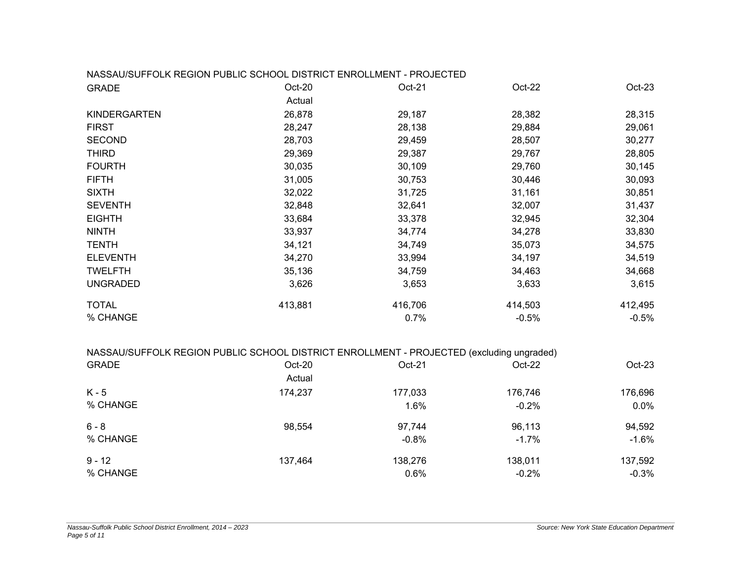#### NASSAU/SUFFOLK REGION PUBLIC SCHOOL DISTRICT ENROLLMENT - PROJECTED

| <b>GRADE</b>        | Oct-20  | Oct-21  | Oct-22  | $Oct-23$ |
|---------------------|---------|---------|---------|----------|
|                     | Actual  |         |         |          |
| <b>KINDERGARTEN</b> | 26,878  | 29,187  | 28,382  | 28,315   |
| <b>FIRST</b>        | 28,247  | 28,138  | 29,884  | 29,061   |
| <b>SECOND</b>       | 28,703  | 29,459  | 28,507  | 30,277   |
| <b>THIRD</b>        | 29,369  | 29,387  | 29,767  | 28,805   |
| <b>FOURTH</b>       | 30,035  | 30,109  | 29,760  | 30,145   |
| <b>FIFTH</b>        | 31,005  | 30,753  | 30,446  | 30,093   |
| <b>SIXTH</b>        | 32,022  | 31,725  | 31,161  | 30,851   |
| <b>SEVENTH</b>      | 32,848  | 32,641  | 32,007  | 31,437   |
| <b>EIGHTH</b>       | 33,684  | 33,378  | 32,945  | 32,304   |
| <b>NINTH</b>        | 33,937  | 34,774  | 34,278  | 33,830   |
| <b>TENTH</b>        | 34,121  | 34,749  | 35,073  | 34,575   |
| <b>ELEVENTH</b>     | 34,270  | 33,994  | 34,197  | 34,519   |
| <b>TWELFTH</b>      | 35,136  | 34,759  | 34,463  | 34,668   |
| <b>UNGRADED</b>     | 3,626   | 3,653   | 3,633   | 3,615    |
| <b>TOTAL</b>        | 413,881 | 416,706 | 414,503 | 412,495  |
| % CHANGE            |         | 0.7%    | $-0.5%$ | $-0.5\%$ |

#### NASSAU/SUFFOLK REGION PUBLIC SCHOOL DISTRICT ENROLLMENT - PROJECTED (excluding ungraded)

| <b>GRADE</b> | Oct-20  | Oct-21  | $Oct-22$ | $Oct-23$ |
|--------------|---------|---------|----------|----------|
|              | Actual  |         |          |          |
| K - 5        | 174,237 | 177,033 | 176,746  | 176,696  |
| % CHANGE     |         | 1.6%    | $-0.2%$  | 0.0%     |
| $6 - 8$      | 98,554  | 97,744  | 96,113   | 94,592   |
| % CHANGE     |         | $-0.8%$ | $-1.7\%$ | $-1.6%$  |
| $9 - 12$     | 137,464 | 138,276 | 138,011  | 137,592  |
| % CHANGE     |         | 0.6%    | $-0.2%$  | $-0.3%$  |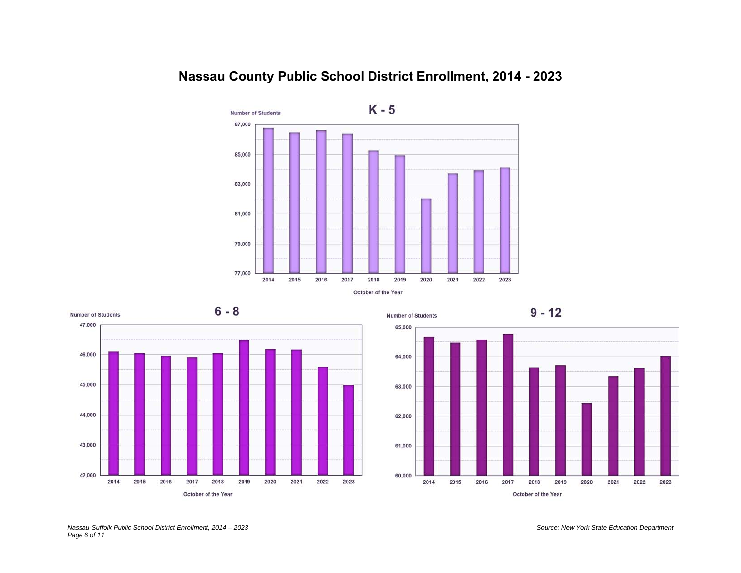

## **Nassau County Public School District Enrollment, 2014 - 2023**





**Number of Students** 



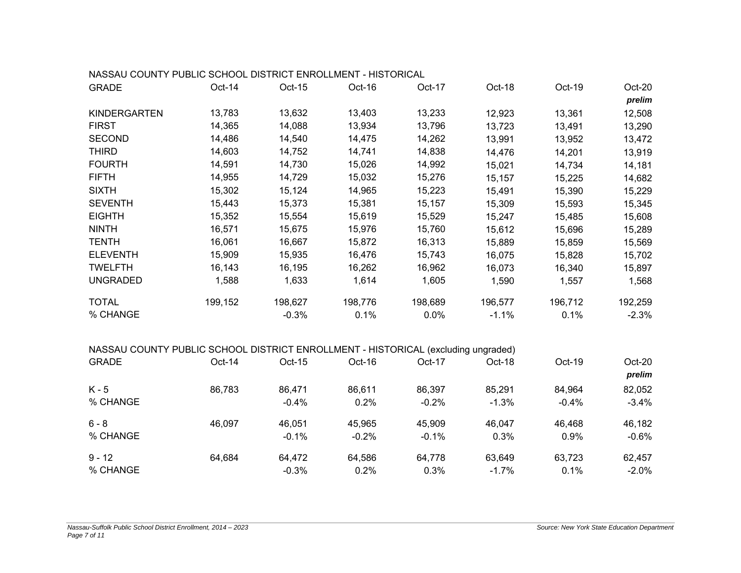| NASSAU COUNTY PUBLIC SCHOOL DISTRICT ENROLLMENT - HISTORICAL                      |         |         |         |         |         |         |         |
|-----------------------------------------------------------------------------------|---------|---------|---------|---------|---------|---------|---------|
| <b>GRADE</b>                                                                      | Oct-14  | Oct-15  | Oct-16  | Oct-17  | Oct-18  | Oct-19  | Oct-20  |
|                                                                                   |         |         |         |         |         |         | prelim  |
| KINDERGARTEN                                                                      | 13,783  | 13,632  | 13,403  | 13,233  | 12,923  | 13,361  | 12,508  |
| <b>FIRST</b>                                                                      | 14,365  | 14,088  | 13,934  | 13,796  | 13,723  | 13,491  | 13,290  |
| <b>SECOND</b>                                                                     | 14,486  | 14,540  | 14,475  | 14,262  | 13,991  | 13,952  | 13,472  |
| <b>THIRD</b>                                                                      | 14,603  | 14,752  | 14,741  | 14,838  | 14,476  | 14,201  | 13,919  |
| <b>FOURTH</b>                                                                     | 14,591  | 14,730  | 15,026  | 14,992  | 15,021  | 14,734  | 14,181  |
| <b>FIFTH</b>                                                                      | 14,955  | 14,729  | 15,032  | 15,276  | 15,157  | 15,225  | 14,682  |
| <b>SIXTH</b>                                                                      | 15,302  | 15,124  | 14,965  | 15,223  | 15,491  | 15,390  | 15,229  |
| <b>SEVENTH</b>                                                                    | 15,443  | 15,373  | 15,381  | 15,157  | 15,309  | 15,593  | 15,345  |
| <b>EIGHTH</b>                                                                     | 15,352  | 15,554  | 15,619  | 15,529  | 15,247  | 15,485  | 15,608  |
| <b>NINTH</b>                                                                      | 16,571  | 15,675  | 15,976  | 15,760  | 15,612  | 15,696  | 15,289  |
| <b>TENTH</b>                                                                      | 16,061  | 16,667  | 15,872  | 16,313  | 15,889  | 15,859  | 15,569  |
| <b>ELEVENTH</b>                                                                   | 15,909  | 15,935  | 16,476  | 15,743  | 16,075  | 15,828  | 15,702  |
| <b>TWELFTH</b>                                                                    | 16,143  | 16,195  | 16,262  | 16,962  | 16,073  | 16,340  | 15,897  |
| <b>UNGRADED</b>                                                                   | 1,588   | 1,633   | 1,614   | 1,605   | 1,590   | 1,557   | 1,568   |
| <b>TOTAL</b>                                                                      | 199,152 | 198,627 | 198,776 | 198,689 | 196,577 | 196,712 | 192,259 |
| % CHANGE                                                                          |         | $-0.3%$ | 0.1%    | 0.0%    | $-1.1%$ | 0.1%    | $-2.3%$ |
| NASSAU COUNTY PUBLIC SCHOOL DISTRICT ENROLLMENT - HISTORICAL (excluding ungraded) |         |         |         |         |         |         |         |
| <b>GRADE</b>                                                                      | Oct-14  | Oct-15  | Oct-16  | Oct-17  | Oct-18  | Oct-19  | Oct-20  |
|                                                                                   |         |         |         |         |         |         | prelim  |
| $K - 5$                                                                           | 86,783  | 86,471  | 86,611  | 86,397  | 85,291  | 84,964  | 82,052  |
| % CHANGE                                                                          |         | $-0.4%$ | 0.2%    | $-0.2%$ | $-1.3%$ | $-0.4%$ | $-3.4%$ |
| $6 - 8$                                                                           | 46,097  | 46,051  | 45,965  | 45,909  | 46,047  | 46,468  | 46,182  |
| % CHANGE                                                                          |         | $-0.1%$ | $-0.2%$ | $-0.1%$ | 0.3%    | 0.9%    | $-0.6%$ |
| $9 - 12$                                                                          | 64,684  | 64,472  | 64,586  | 64,778  | 63,649  | 63,723  | 62,457  |
| % CHANGE                                                                          |         | $-0.3%$ | 0.2%    | 0.3%    | $-1.7%$ | 0.1%    | $-2.0%$ |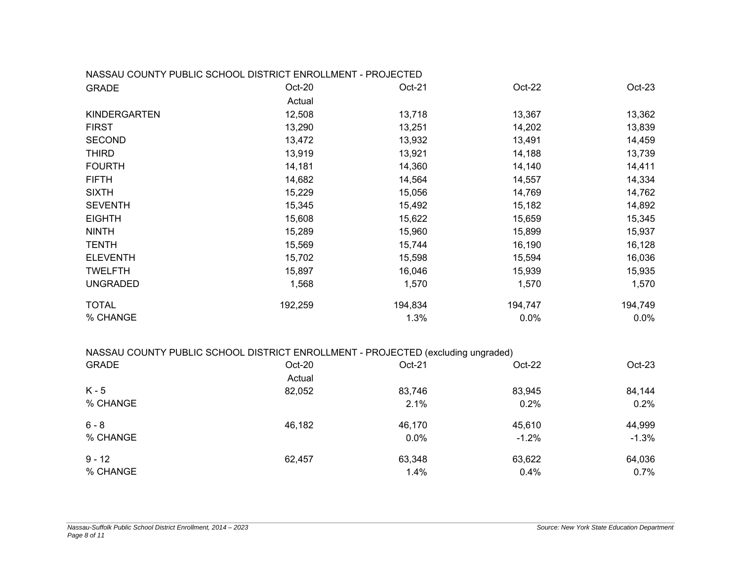|                     | NASSAU COUNTY PUBLIC SCHOOL DISTRICT ENROLLMENT - PROJECTED |         |         |          |
|---------------------|-------------------------------------------------------------|---------|---------|----------|
| <b>GRADE</b>        | Oct-20                                                      | Oct-21  | Oct-22  | $Oct-23$ |
|                     | Actual                                                      |         |         |          |
| <b>KINDERGARTEN</b> | 12,508                                                      | 13,718  | 13,367  | 13,362   |
| <b>FIRST</b>        | 13,290                                                      | 13,251  | 14,202  | 13,839   |
| <b>SECOND</b>       | 13,472                                                      | 13,932  | 13,491  | 14,459   |
| <b>THIRD</b>        | 13,919                                                      | 13,921  | 14,188  | 13,739   |
| <b>FOURTH</b>       | 14,181                                                      | 14,360  | 14,140  | 14,411   |
| <b>FIFTH</b>        | 14,682                                                      | 14,564  | 14,557  | 14,334   |
| <b>SIXTH</b>        | 15,229                                                      | 15,056  | 14,769  | 14,762   |
| <b>SEVENTH</b>      | 15,345                                                      | 15,492  | 15,182  | 14,892   |
| <b>EIGHTH</b>       | 15,608                                                      | 15,622  | 15,659  | 15,345   |
| <b>NINTH</b>        | 15,289                                                      | 15,960  | 15,899  | 15,937   |
| <b>TENTH</b>        | 15,569                                                      | 15,744  | 16,190  | 16,128   |
| <b>ELEVENTH</b>     | 15,702                                                      | 15,598  | 15,594  | 16,036   |
| <b>TWELFTH</b>      | 15,897                                                      | 16,046  | 15,939  | 15,935   |
| <b>UNGRADED</b>     | 1,568                                                       | 1,570   | 1,570   | 1,570    |
| <b>TOTAL</b>        | 192,259                                                     | 194,834 | 194,747 | 194,749  |
| % CHANGE            |                                                             | 1.3%    | 0.0%    | $0.0\%$  |

| NASSAU COUNTY PUBLIC SCHOOL DISTRICT ENROLLMENT - PROJECTED (excluding ungraded) |  |  |
|----------------------------------------------------------------------------------|--|--|

| <b>GRADE</b> | Oct-20 | $Oct-21$ | $Oct-22$ | $Oct-23$ |
|--------------|--------|----------|----------|----------|
|              | Actual |          |          |          |
| $K - 5$      | 82,052 | 83,746   | 83,945   | 84,144   |
| % CHANGE     |        | 2.1%     | 0.2%     | 0.2%     |
| $6 - 8$      | 46,182 | 46,170   | 45,610   | 44,999   |
| % CHANGE     |        | 0.0%     | $-1.2%$  | $-1.3%$  |
| $9 - 12$     | 62,457 | 63,348   | 63,622   | 64,036   |
| % CHANGE     |        | 1.4%     | 0.4%     | 0.7%     |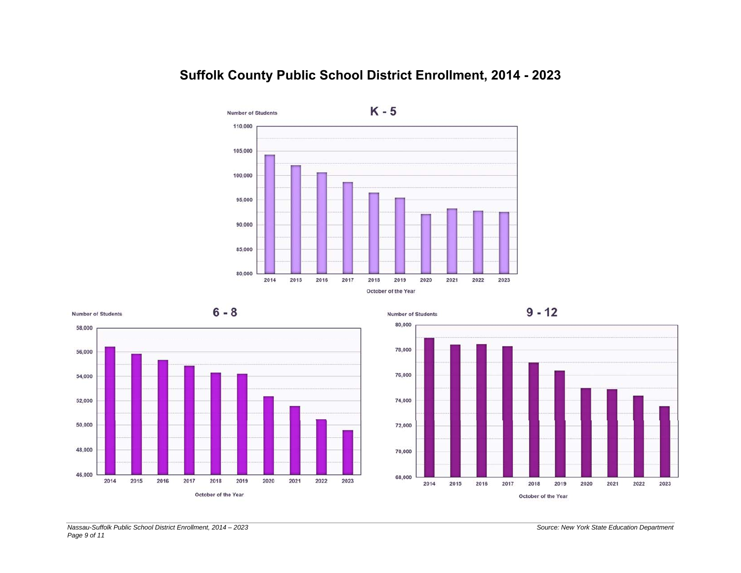

## **Suffolk County Public School District Enrollment, 2014 - 2023**



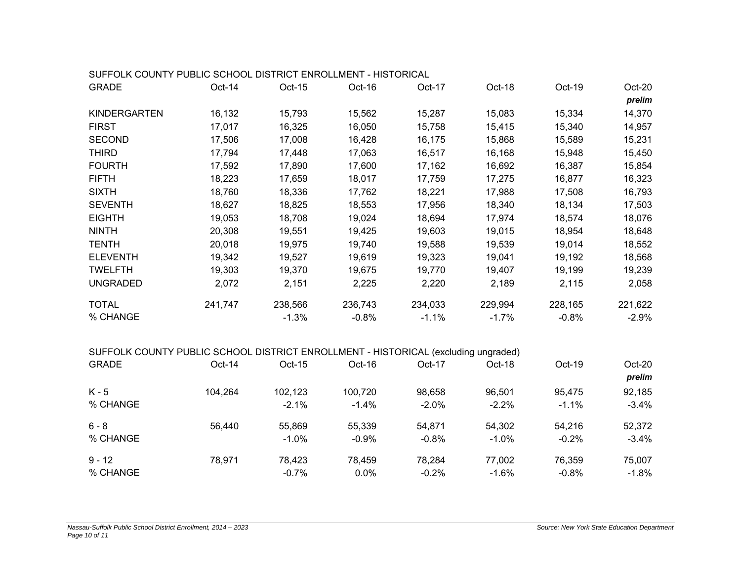| SUFFOLK COUNTY PUBLIC SCHOOL DISTRICT ENROLLMENT - HISTORICAL                      |         |         |         |         |         |         |         |
|------------------------------------------------------------------------------------|---------|---------|---------|---------|---------|---------|---------|
| <b>GRADE</b>                                                                       | Oct-14  | Oct-15  | Oct-16  | Oct-17  | Oct-18  | Oct-19  | Oct-20  |
|                                                                                    |         |         |         |         |         |         | prelim  |
| KINDERGARTEN                                                                       | 16,132  | 15,793  | 15,562  | 15,287  | 15,083  | 15,334  | 14,370  |
| <b>FIRST</b>                                                                       | 17,017  | 16,325  | 16,050  | 15,758  | 15,415  | 15,340  | 14,957  |
| <b>SECOND</b>                                                                      | 17,506  | 17,008  | 16,428  | 16,175  | 15,868  | 15,589  | 15,231  |
| <b>THIRD</b>                                                                       | 17,794  | 17,448  | 17,063  | 16,517  | 16,168  | 15,948  | 15,450  |
| <b>FOURTH</b>                                                                      | 17,592  | 17,890  | 17,600  | 17,162  | 16,692  | 16,387  | 15,854  |
| <b>FIFTH</b>                                                                       | 18,223  | 17,659  | 18,017  | 17,759  | 17,275  | 16,877  | 16,323  |
| <b>SIXTH</b>                                                                       | 18,760  | 18,336  | 17,762  | 18,221  | 17,988  | 17,508  | 16,793  |
| <b>SEVENTH</b>                                                                     | 18,627  | 18,825  | 18,553  | 17,956  | 18,340  | 18,134  | 17,503  |
| <b>EIGHTH</b>                                                                      | 19,053  | 18,708  | 19,024  | 18,694  | 17,974  | 18,574  | 18,076  |
| <b>NINTH</b>                                                                       | 20,308  | 19,551  | 19,425  | 19,603  | 19,015  | 18,954  | 18,648  |
| <b>TENTH</b>                                                                       | 20,018  | 19,975  | 19,740  | 19,588  | 19,539  | 19,014  | 18,552  |
| <b>ELEVENTH</b>                                                                    | 19,342  | 19,527  | 19,619  | 19,323  | 19,041  | 19,192  | 18,568  |
| <b>TWELFTH</b>                                                                     | 19,303  | 19,370  | 19,675  | 19,770  | 19,407  | 19,199  | 19,239  |
| <b>UNGRADED</b>                                                                    | 2,072   | 2,151   | 2,225   | 2,220   | 2,189   | 2,115   | 2,058   |
| <b>TOTAL</b>                                                                       | 241,747 | 238,566 | 236,743 | 234,033 | 229,994 | 228,165 | 221,622 |
| % CHANGE                                                                           |         | $-1.3%$ | $-0.8%$ | $-1.1%$ | $-1.7%$ | $-0.8%$ | $-2.9%$ |
| SUFFOLK COUNTY PUBLIC SCHOOL DISTRICT ENROLLMENT - HISTORICAL (excluding ungraded) |         |         |         |         |         |         |         |
| <b>GRADE</b>                                                                       | Oct-14  | Oct-15  | Oct-16  | Oct-17  | Oct-18  | Oct-19  | Oct-20  |
|                                                                                    |         |         |         |         |         |         | prelim  |
| $K - 5$                                                                            | 104,264 | 102,123 | 100,720 | 98,658  | 96,501  | 95,475  | 92,185  |
| % CHANGE                                                                           |         | $-2.1%$ | $-1.4%$ | $-2.0%$ | $-2.2%$ | $-1.1%$ | $-3.4%$ |
| $6 - 8$                                                                            | 56,440  | 55,869  | 55,339  | 54,871  | 54,302  | 54,216  | 52,372  |
| % CHANGE                                                                           |         | $-1.0%$ | $-0.9%$ | $-0.8%$ | $-1.0%$ | $-0.2%$ | $-3.4%$ |
| $9 - 12$                                                                           | 78,971  | 78,423  | 78,459  | 78,284  | 77,002  | 76,359  | 75,007  |
| % CHANGE                                                                           |         | $-0.7%$ | 0.0%    | $-0.2%$ | $-1.6%$ | $-0.8%$ | $-1.8%$ |